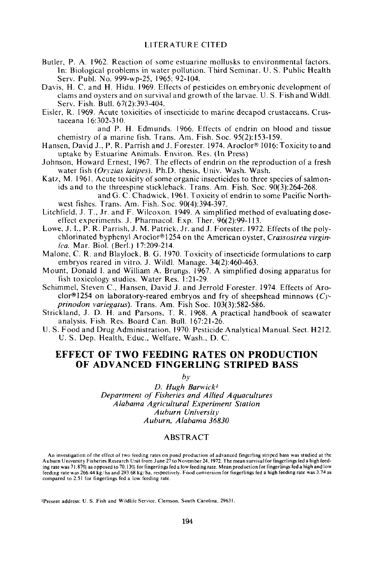- Butler, P. A. 1962. Reaction of some estuarine mollusks to environmental factors. In: Biological problems in water pollution. Third Seminar. U. S. Puhlic Health Serv. Publ. No. 999-wp-25, 1965: 92-104.
- Davis, H. C. and H. Hidu. 1969. Effects of pesticides on embryonic development of clams and oysters and on survival and growth of the larvae. U. S. Fish and Wildl. Serv. Fish. Bull. 67(2):393-404.
- Eisler, R. 1969. Acute toxicities of insecticide to marine decapod crustaceans. Crustaceana 16:302-310.

and P. H. Edmunds. 1966. Effects of endrin on blood and tissue chemistry of a marine fish. Trans. Am. Fish. Soc. 95(2):153-159.

- Hansen, David J., P. R. Parrish and J. Forester. 1974. Aroclor® 1016: Toxicity to and uptake by Estuarine Animals. Environ. Res. (In Press)
- Johnson, Howard Ernest, 1967. The effects of endrin on the reproduction of a fresh water fish *(Oryzias latipes).* Ph.D. thesis, Univ. Wash. Wash.
- Katz, M. 1961. Acute toxicity of some organic insecticides to three species of salmonids and to the threespine stickleback. Trans. Am. Fish. Soc. 90(3):264-268.

and G. C. Chadwick. 1961. Toxicity of endrin to some Pacific Northwest fishes. Trans. Am. Fish. Soc. 90(4):394-397.

- Litchfield, J. T., Jr. and F. Wilcoxon. 1949. A simplified method of evaluating doseeffect experiments. J. Pharmacol. Exp. Ther. 96(2):99-113.
- Lowe, J. I., P. R. Parrish, J. M. Patrick. Jr. and J. Forester. 1972. Effects of the polychlorinated byphenyl Aroclor® 1254 on the American oyster, *Crassostrea virginica.* Mar. BioI. (Berl.) 17:209-214.
- Malone. C. R. and Blaylock, B. G. 1970. Toxicity of insecticide formulations to carp em bryos reared in vitro. J. Wildl. Manage. 34(2):460-463.
- Mount, Donald I. and William A. Brungs. 1967. A simplified dosing apparatus for fish toxicology studies. Water Res. 1:21-29.
- Schimmel, Steven C., Hansen, David J. and Jerrold Forester. 1974. Effects of Aroc1or®1254 on laboratory-reared embryos and fry of sheepshead minnows *(Cyprinodon variegatus).* Trans. Am. Fish Soc. 103(3):582-586.
- Strickland, J. D. H. and Parsons, T. R. 1968. A practical handbook of seawater analysis. Fish. Res. Board Can. Bull. 167:21-26.
- U. S. Food and Drug Administration. 1970. Pesticide Analytical Manual. Sect. H212. U. S. Dep. Health, Educ., Welfare, Wash., D. C.

# EFFECT OF TWO FEEDING RATES ON PRODUCTION OF ADVANCED FINGERLING STRIPED BASS

*by*

*D. Hugh Barwick} Department of Fisheries and Allied Aquacultures Alabama Agricultural Experiment Station Auburn University Auburn, Alabama 36830*

### ABSTRACT

An investigation of the effect of two feeding rates on pond production of advanced fingerling striped bass was studied at the<br>Auburn University Fisheries Research Unit from June 27 to November 24, 1972. The mean survival f ing rate was 71.87% as opposed to 70.13%- for fingerlings fed a low feeding rate. Mean production for fingerlings fed a high and low feeding rate was 266.44 kg/ha and 293.68 kg/ha. respectively. Food conversion for fingerlings fed a high feeding rate was 3.74 as compared to 2.51 for fingerlings fed a low feeding rate.

IPresent address: U. S. Fish and Wildlife Service. Clemson. South Carolina. 29631.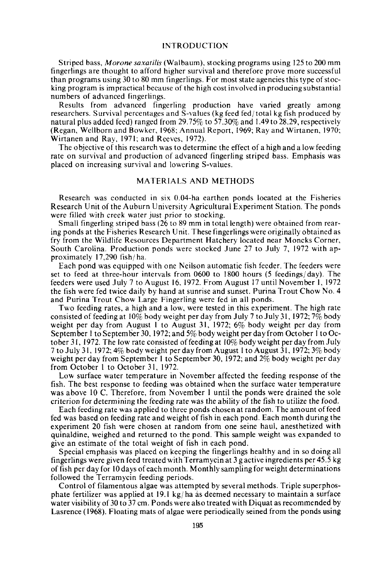#### INTRODUCTION

Striped bass, *Marone saxatilis* (Walbaum), stocking programs using 125 to 200 mm fingerlings are thought to afford higher survival and therefore prove more successful than programs using  $30$  to  $80$  mm fingerlings. For most state agencies this type of stocking program is impractical because of the high cost involved in producing substantial numbers of advanced fingerlings.

Results from advanced fingerling production have varied greatly among researchers. Survival percentages and S-values (kg feed fed/total kg fish produced by natural plus added feed) ranged from 29.75% to 57.30% and 1.49 to 28.29, respectively (Regan, Wellborn and Bowker, 1968; Annual Report, 1969; Ray and Wirtanen, 1970; Wirtanen and Ray, 1971; and Reeves, 1972).

The objective of this research was to determine the effect of a high and a low feeding rate on survival and production of advanced fingerling striped bass. Emphasis was placed on increasing survival and lowering S-values.

# MATERIALS AND METHODS

Research was conducted in six 0.04-ha earthen ponds located at the Fisheries Research Unit of the Auburn University Agricultural Experiment Station. The ponds were filled with creek water just prior to stocking.

Small fingerling striped bass (26 to 89 mm in total length) were obtained from rearing ponds at the Fisheries Research Unit. These fingerlings were originally obtained as fry from the Wildlife Resources Department Hatchery located near Moncks Corner, South Carolina. Production ponds were stocked June 27 to July 7, 1972 with approximately 17,290 fish/ ha.

Each pond was equipped with one Neilson automatic fish feeder. The feeders were set to feed at three-hour intervals from 0600 to 1800 hours (5 feedings/ day). The feeders were used July 7 to August 16, 1972. From August 17 until November 1,1972 the fish were fed twice daily by hand at sunrise and sunset. Purina Trout Chow No.4 and Purina Trout Chow Large Fingerling were fed in all ponds.

Two feeding rates, a high and a low, were tested in this experiment. The high rate consisted of feeding at 10% body weight per day from July 7 to July 31, 1972; 7% body weight per day from August I to August 31, 1972; 6% body weight per day from September I to September 30,1972; and 5% body weight per day from October I to October 31, 1972. The low rate consisted of feeding at  $10\%$  body weight per day from July 7 toJuly 31,1972; 4% body weight perdayfromAugust I to August 31,1972; 3% body weight per day from September I to September 30, 1972; and 2% body weight per day from October 1 to October 31, 1972.

Low surface water temperature in November affected the feeding response of the fish. The best response to feeding was obtained when the surface water temperature was above 10 C. Therefore, from November I until the ponds were drained the sole criterion for determining the feeding rate was the ability of the fish to utilize the food.

Each feeding rate was applied to three ponds chosen at random. The amount offeed fed was based on feeding rate and weight of fish in each pond. Each month during the experiment 20 fish were chosen at random from one seine haul, anesthetized with quinaldine, weighed and returned to the pond. This sample weight was expanded to give an estimate of the total weight of fish in each pond.

Special emphasis was placed on keeping the fingerlings healthy and in so doing all fingerlings were given feed treated with Terramycin at 3 g active ingredients per 45.5 kg of fish per day for 10 days of each month. Monthly sampling for weight determinations followed the Terramycin feeding periods.

Control of filamentous algae was attempted by several methods. Triple superphosphate fertilizer was applied at 19.1 kg/ ha as deemed necessary to maintain a surface water visibility of 30 to 37 cm. Ponds were also treated with Diquat as recommended by Lasrence (1968). Floating mats of algae were periodically seined from the ponds using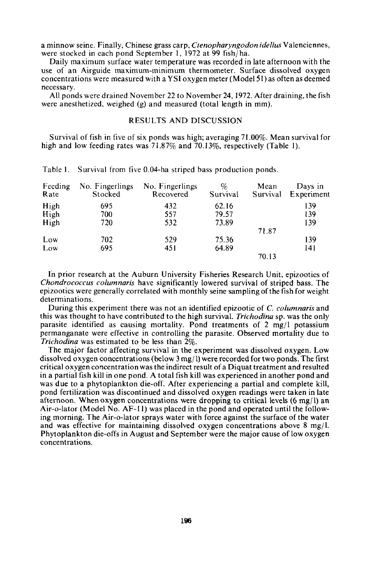a minnow seine. Finally, Chinese grass carp, *Ctenopharyngodon idellus* Valenciennes, were stocked in each pond September 1, 1972 at 99 fish/ha.

Daily maximum surface water temperature was recorded in late afternoon with the use of an Airguide maximum-minimum thermometer. Surface dissolved oxygen concentrations were measured with a YSI oxygen meter (Model 51 ) as often as deemed necessary.

All ponds were drained November 22 to November 24, 1972. After draining, the fish were anesthetized, weighed (g) and measured (total length in mm).

# RESULTS AND DISCUSSION

Survival of fish in five of six ponds was high; averaging 71.00%. Mean survival for high and low feeding rates was 71.87% and 70.13%, respectively (Table 1).

| Feeding<br>Rate | No. Fingerlings<br>Stocked | No. Fingerlings<br>Recovered | %<br>Survival | Mean<br>Survival | Days in<br>Experiment |
|-----------------|----------------------------|------------------------------|---------------|------------------|-----------------------|
| High            | 695                        | 432                          | 62.16         |                  | 139                   |
| High            | 700                        | 557                          | 79.57         |                  | 139                   |
| High            | 720                        | 532                          | 73.89         |                  | 139                   |
|                 |                            |                              |               | 71.87            |                       |
| Low             | 702                        | 529                          | 75.36         |                  | 139                   |
| Low             | 695                        | 451                          | 64.89         |                  | 141                   |
|                 |                            |                              |               | 70.13            |                       |

Table I. Survival from five 0.04-ha striped bass production ponds.

In prior research at the Auburn University Fisheries Research Unit, epizootics of *Chondrococcus columnaris* have significantly lowered survival of striped bass. The epizootics were generally correlated with monthly seine sampling ofthe fish for weight determinations.

During this experiment there was not an identified epizootic of C. *columnaris* and this was thought to have contributed to the high survival. *Trichodina* sp. was the only parasite identified as causing mortality. Pond treatments of  $2 \text{ mg/l}$  potassium permanganate were effective in controlling the parasite. Observed mortality due to *Trichodina* was estimated to be less than 2%.

The major factor affecting survival in the experiment was dissolved oxygen. Low dissolved oxygen concentrations(below 3mg/I) were recorded for two ponds. The first critical oxygen concentration was the indirect result of a Diquat treatment and resulted in a partial fish kill in one pond. A total fish kill was experienced in another pond and was due to a phytoplankton die-off. After experiencing a partial and complete kill, pond fertilization was discontinued and dissolved oxygen readings were taken in late afternoon. When oxygen concentrations were dropping to critical levels  $(6 \text{ mg}/1)$  an Air-o-Iator (Model No. AF-II) was placed in the pond and operated until the following morning. The Air-o-Iator sprays water with force against the surface of the water and was effective for maintaining dissolved oxygen concentrations above  $8 \text{ mg/l}$ . Phytoplankton die-offs in August and September were the major cause of low oxygen concentrations.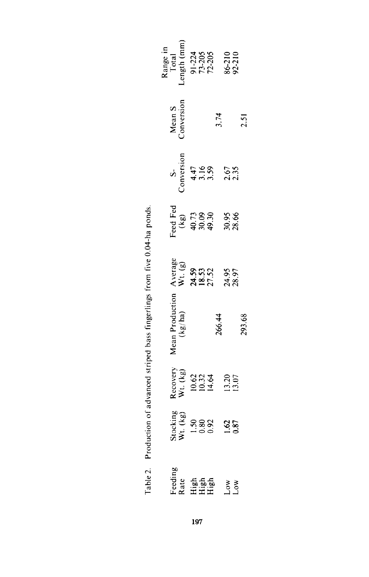| Range in<br>Total<br>Total<br>ength (mm <sub>)</sub><br>91-224<br>71-205<br>72-210<br>86-210<br>Mean S<br>Conversion       |     | 3.74   |  | 2.51   |
|----------------------------------------------------------------------------------------------------------------------------|-----|--------|--|--------|
| S<br>Conversion<br>4.47<br>3.59<br>3.67<br>2.67<br>2.35                                                                    |     |        |  |        |
| $\begin{array}{cc}\n \text{ced Fei} \\  (\text{kg}) \\  (1, 7) \\  40.73 \\  9.93\n\end{array}$<br>40.73<br>49.30<br>30.85 |     |        |  |        |
| Average<br>W.t. (g)<br>24.59<br>27.52<br>28.97<br>28.97                                                                    |     |        |  |        |
| $\begin{array}{c} \text{Mean Production} \\ \text{(kg/ha)} \end{array}$                                                    |     | 266.44 |  | 293.68 |
| Recovery<br>Wt. (kg)<br>10.62<br>14.64<br>13.20<br>13.07                                                                   |     |        |  |        |
| stocking<br>Wt. (kg)<br>1.50<br>1.60<br>0.87<br>1.62                                                                       |     |        |  |        |
| ੰeeding<br>2 de High<br>High My X<br>Low Low                                                                               |     |        |  |        |
|                                                                                                                            | 197 |        |  |        |

Table 2. Production of advanced striped bass fingerlings from five 0.04-ha ponds. Table2. Production of advanced striped bass fingerlings from five 0.04-ha ponds.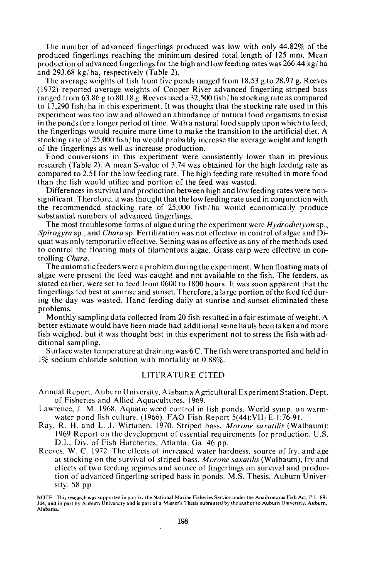The number of advanced fingerlings produced was low with only 44.82% of the produced fingerlings reaching the minimum desired total length of 125 mm. Mean production of advanced fingerlings for the high and low feeding rates was 266.44 kg/ha and 293.68 kg/ ha, respectively (Table 2).

The average weights of fish from five ponds ranged from 18.53 g to 28.97 g. Reeves (1972) reported average weights of Cooper River advanced fingerling striped bass ranged from 63.86 g to 80.18 g. Reeves used a 32,500 fish/ ha stocking rate as compared to 17,290 fish/ ha in this experiment. It was thought that the stocking rate used in this experiment was too low and allowed an abundance of natural food organisms to exist in the ponds for a longer period oftime. With a natural food supply upon which to feed, the fingerlings would require more time to make the transition to the artificial diet. A stocking rate of 25,000 fish/ ha would probably increase the average weight and length of the fingerlings as well as increase production.

Food conversions in this experiment were consistently lower than in previous research (Table 2). A mean S-value of 3.74 was obtained for the high feeding rate as compared to 2.51 for the low feeding rate. The high feeding rate resulted in more food than the fish would utilize and portion of the feed was wasted.

Differences in survival and production between high and low feeding rates were nonsignificant. Therefore, it was thought that the low feeding rate used in conjunction with the recommended stocking rate of 25,000 fish/ ha would economically produce substantial numbers of advanced fingerlings.

The most troublesome forms of algae during the experiment were *Hydrodictyon* sp., *Spirogyra* sp., and *Chara* sp. Fertilization was not effective in control of algae and Diquat was only temporarily effective. Seining was as effective as any ofthe methods used to control the floating mats of filamentous algae. Grass carp were effective in controlling *Chara.*

The automatic feeders were a problem during the experiment. When floating mats of algae were present the feed was caught and not available to the fish. The feeders, as stated earlier, were set to feed from 0600 to 1800 hours. It was soon apparent that the fingerlings fed best at sunrise and sunset. Therefore, a large portion ofthe feed fed during the day was wasted. Hand feeding daily at sunrise and sunset eliminated these problems.

Monthly sampling data collected from 20 fish resulted in a fair estimate of weight. A better estimate would have been made had additional seine hauls been taken and more fish weighed, but it was thought best in this experiment not to stress the fish with additional sampling.

Surface water temperature at draining was 6 C. The fish were transported and held in 1% sodium chloride solution with mortality at 0.88%.

#### LITERATURE CITED

- Annual Report. Auburn University, Alabama Agricultural Experiment Station. Dept. of Fisheries and Allied Aquacultures, 1969.
- Lawrence, J. M. 1968. Aquatic weed control in fish ponds. World symp. on warmwater pond fish culture, (1966). FAD Fish Report 5(44):VII/E-I:76-91.
- Ray, R. H. and L. J. Wirtanen. 1970. Striped bass, *Morone saxatilis* (Walbaum): 1969 Report on the development of essential requirements for production. U.S. D.I., Div. of Fish Hatcheries, Atlanta, Ga. 46 pp.
- Reeves, W. C. 1972. The effects of increased water hardness, source of fry, and age at stocking on the survival of striped bass, *Morone saxatilis* (Walbaum), fry and effects of two feeding regimes and source of fingerlings on survival and production of advanced fingerling striped bass in ponds. M.S. Thesis, Auburn University. 58 pp.

NOTE: This research was supported in part by the National Marine Fisheries Service under the Anadromous Fish Act, P.L. 89-304, and in part by Auburn University and is part of a Master's Thesis submitted by the author to Auburn University, Auburn, **Alabama.**